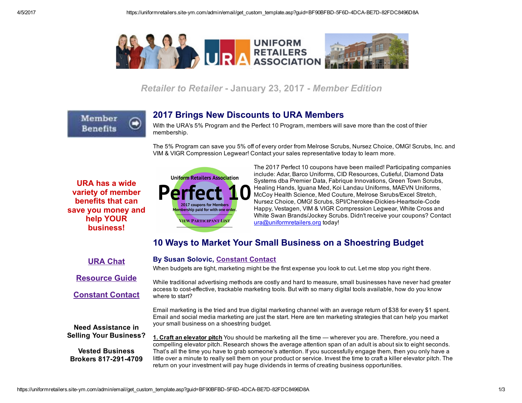

Retailer to Retailer - January 23, 2017 - Member Edition

Member **Benefits** 

### 2017 Brings New Discounts to URA Members

With the URA's 5% Program and the Perfect 10 Program, members will save more than the cost of thier membership.

The 5% Program can save you 5% off of every order from Melrose Scrubs, Nursez Choice, OMG! Scrubs, Inc. and VIM & VIGR Compression Legwear! Contact your sales representative today to learn more.

URA has a wide variety of member benefits that can save you money and help YOUR business!



By Susan Solovic, [Constant](http://www.uniformretailers.org/Login.aspx) Contact

The 2017 Perfect 10 coupons have been mailed! Participating companies include: Adar, Barco Uniforms, CID Resources, Cutieful, Diamond Data Systems dba Premier Data, Fabrique Innovations, Green Town Scrubs, Healing Hands, Iguana Med, Koi Landau Uniforms, MAEVN Uniforms, McCoy Health Science, Med Couture, Melrose Sxrubs/Excel Stretch, Nursez Choice, OMG! Scrubs, SPI/Cherokee-Dickies-Heartsole-Code Happy, Vestagen, VIM & VIGR Compression Legwear, White Cross and White Swan Brands/Jockey Scrubs. Didn't receive your coupons? Contact [ura@uniformretailers.org](https://uniformretailers.site-ym.com/admin/email/ura@uniformretailers.org) today!

## 10 Ways to Market Your Small Business on a Shoestring Budget

#### URA [Chat](http://www.uniformretailers.org/Login.aspx)

When budgets are tight, marketing might be the first expense you look to cut. Let me stop you right there.

[Resource](https://uniformretailers.site-ym.com/page/2017Perfect10) Guide

[Constant](http://www.uniformretailers.org/Login.aspx) Contact

While traditional advertising methods are costly and hard to measure, small businesses have never had greater access to costeffective, trackable marketing tools. But with so many digital tools available, how do you know where to start?

Email marketing is the tried and true digital marketing channel with an average return of \$38 for every \$1 spent. Email and social media marketing are just the start. Here are ten marketing strategies that can help you market your small business on a shoestring budget.

Need Assistance in Selling Your Business?

Vested Business Brokers 817-291-4709 1. Craft an elevator pitch You should be marketing all the time — wherever you are. Therefore, you need a compelling elevator pitch. Research shows the average attention span of an adult is about six to eight seconds. That's all the time you have to grab someone's attention. If you successfully engage them, then you only have a little over a minute to really sell them on your product or service. Invest the time to craft a killer elevator pitch. The return on your investment will pay huge dividends in terms of creating business opportunities.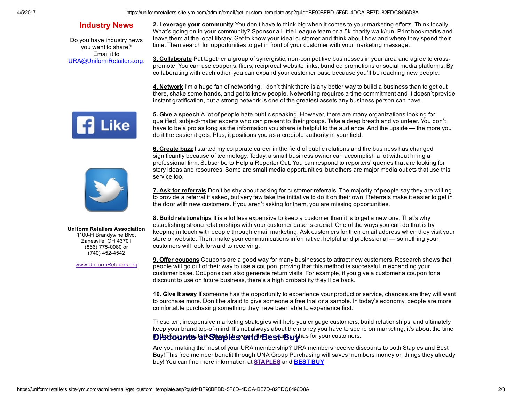4/5/2017 https://uniformretailers.site-ym.com/admin/email/get\_custom\_template.asp?guid=BF90BFBD-5F6D-4DCA-BE7D-82FDC8496D8A

#### Industry News

Do you have industry news you want to share? Email it to [URA@UniformRetailers.org](mailto:URA@UniformRetailers.org?subject=URA%20Industry%20News). 2. Leverage your community You don't have to think big when it comes to your marketing efforts. Think locally. What's going on in your community? Sponsor a Little League team or a 5k charity walk/run. Print bookmarks and leave them at the local library. Get to know your ideal customer and think about how and where they spend their time. Then search for opportunities to get in front of your customer with your marketing message.

3. Collaborate Put together a group of synergistic, non-competitive businesses in your area and agree to crosspromote. You can use coupons, fliers, reciprocal website links, bundled promotions or social media platforms. By collaborating with each other, you can expand your customer base because you'll be reaching new people.

4. Network I'm a huge fan of networking. I don't think there is any better way to build a business than to get out there, shake some hands, and get to know people. Networking requires a time commitment and it doesn't provide instant gratification, but a strong network is one of the greatest assets any business person can have.



5. Give a speech A lot of people hate public speaking. However, there are many organizations looking for qualified, subject-matter experts who can present to their groups. Take a deep breath and volunteer. You don't have to be a pro as long as the information you share is helpful to the audience. And the upside — the more you do it the easier it gets. Plus, it positions you as a credible authority in your field.

**6. Create buzz** I started my corporate career in the field of public relations and the business has changed significantly because of technology. Today, a small business owner can accomplish a lot without hiring a professional firm. Subscribe to Help a Reporter Out. You can respond to reporters' queries that are looking for story ideas and resources. Some are small media opportunities, but others are major media outlets that use this service too.

7. Ask for referrals Don't be shy about asking for customer referrals. The majority of people say they are willing to provide a referral if asked, but very few take the initiative to do it on their own. Referrals make it easier to get in the door with new customers. If you aren't asking for them, you are missing opportunities.

8. Build relationships It is a lot less expensive to keep a customer than it is to get a new one. That's why establishing strong relationships with your customer base is crucial. One of the ways you can do that is by keeping in touch with people through email marketing. Ask customers for their email address when they visit your store or website. Then, make your communications informative, helpful and professional — something your customers will look forward to receiving.

**9. Offer coupons** Coupons are a good way for many businesses to attract new customers. Research shows that people will go out of their way to use a coupon, proving that this method is successful in expanding your customer base. Coupons can also generate return visits. For example, if you give a customer a coupon for a discount to use on future business, there's a high probability they'll be back.

10. Give it away If someone has the opportunity to experience your product or service, chances are they will want to purchase more. Don't be afraid to give someone a free trial or a sample. In today's economy, people are more comfortable purchasing something they have been able to experience first.

These ten, inexpensive marketing strategies will help you engage customers, build relationships, and ultimately keep your brand top-of-mind. It's not always about the money you have to spend on marketing, it's about the time Discounts at Staples and Best Buyhas for your customers.

Are you making the most of your URA membership? URA members receive discounts to both Staples and Best Buy! This free member benefit through UNA Group Purchasing will saves members money on things they already buy! You can find more information at **[STAPLES](http://www.uniformretailers.org/resource/resmgr/files/Staples_Summary.pdf)** and **[BEST](http://www.uniformretailers.org/resource/resmgr/files/Best_Buy_Summary.pdf) BUY** 

Uniform Retailers Association 1100-H Brandywine Blvd. Zanesville, OH 43701 (866) 775-0080 or  $(740)$  452-4542

[www.UniformRetailers.org](http://www.uniformretailers.org/)